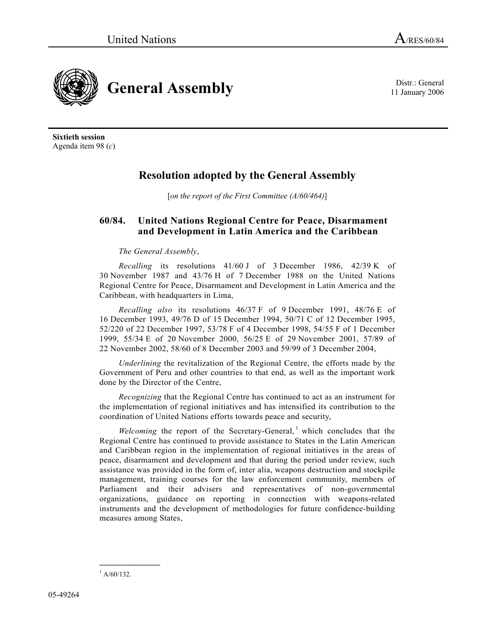11 January 2006



**Sixtieth session**  Agenda item 98 (*c*)

## **Resolution adopted by the General Assembly**

[*on the report of the First Committee (A/60/464)*]

## **60/84. United Nations Regional Centre for Peace, Disarmament and Development in Latin America and the Caribbean**

## *The General Assembly*,

*Recalling* its resolutions 41/60 J of 3 December 1986, 42/39 K of 30 November 1987 and 43/76 H of 7 December 1988 on the United Nations Regional Centre for Peace, Disarmament and Development in Latin America and the Caribbean, with headquarters in Lima,

*Recalling also* its resolutions 46/37 F of 9 December 1991, 48/76 E of 16 December 1993, 49/76 D of 15 December 1994, 50/71 C of 12 December 1995, 52/220 of 22 December 1997, 53/78 F of 4 December 1998, 54/55 F of 1 December 1999, 55/34 E of 20 November 2000, 56/25 E of 29 November 2001, 57/89 of 22 November 2002, 58/60 of 8 December 2003 and 59/99 of 3 December 2004,

*Underlining* the revitalization of the Regional Centre, the efforts made by the Government of Peru and other countries to that end, as well as the important work done by the Director of the Centre,

*Recognizing* that the Regional Centre has continued to act as an instrument for the implementation of regional initiatives and has intensified its contribution to the coordination of United Nations efforts towards peace and security,

*Welcoming* the report of the Secretary-General,<sup>1</sup> which concludes that the Regional Centre has continued to provide assistance to States in the Latin American and Caribbean region in the implementation of regional initiatives in the areas of peace, disarmament and development and that during the period under review, such assistance was provided in the form of, inter alia, weapons destruction and stockpile management, training courses for the law enforcement community, members of Parliament and their advisers and representatives of non-governmental organizations, guidance on reporting in connection with weapons-related instruments and the development of methodologies for future confidence-building measures among States,

 $^{1}$  A/60/132.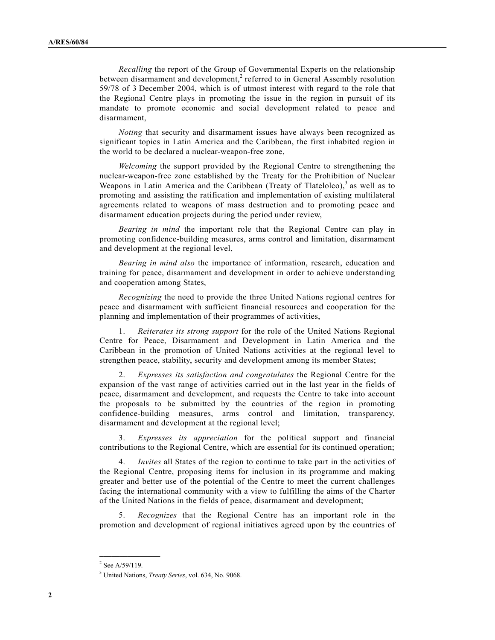*Recalling* the report of the Group of Governmental Experts on the relationship between disarmament and development,<sup>2</sup> referred to in General Assembly resolution 59/78 of 3 December 2004, which is of utmost interest with regard to the role that the Regional Centre plays in promoting the issue in the region in pursuit of its mandate to promote economic and social development related to peace and disarmament,

*Noting* that security and disarmament issues have always been recognized as significant topics in Latin America and the Caribbean, the first inhabited region in the world to be declared a nuclear-weapon-free zone,

*Welcoming* the support provided by the Regional Centre to strengthening the nuclear-weapon-free zone established by the Treaty for the Prohibition of Nuclear Weapons in Latin America and the Caribbean (Treaty of Tlatelolco), $3$  as well as to promoting and assisting the ratification and implementation of existing multilateral agreements related to weapons of mass destruction and to promoting peace and disarmament education projects during the period under review,

*Bearing in mind* the important role that the Regional Centre can play in promoting confidence-building measures, arms control and limitation, disarmament and development at the regional level,

*Bearing in mind also* the importance of information, research, education and training for peace, disarmament and development in order to achieve understanding and cooperation among States,

*Recognizing* the need to provide the three United Nations regional centres for peace and disarmament with sufficient financial resources and cooperation for the planning and implementation of their programmes of activities,

 1. *Reiterates its strong support* for the role of the United Nations Regional Centre for Peace, Disarmament and Development in Latin America and the Caribbean in the promotion of United Nations activities at the regional level to strengthen peace, stability, security and development among its member States;

 2. *Expresses its satisfaction and congratulates* the Regional Centre for the expansion of the vast range of activities carried out in the last year in the fields of peace, disarmament and development, and requests the Centre to take into account the proposals to be submitted by the countries of the region in promoting confidence-building measures, arms control and limitation, transparency, disarmament and development at the regional level;

 3. *Expresses its appreciation* for the political support and financial contributions to the Regional Centre, which are essential for its continued operation;

 4. *Invites* all States of the region to continue to take part in the activities of the Regional Centre, proposing items for inclusion in its programme and making greater and better use of the potential of the Centre to meet the current challenges facing the international community with a view to fulfilling the aims of the Charter of the United Nations in the fields of peace, disarmament and development;

 5. *Recognizes* that the Regional Centre has an important role in the promotion and development of regional initiatives agreed upon by the countries of

**\_\_\_\_\_\_\_\_\_\_\_\_\_\_\_** 

 $2$  See A/59/119.

<sup>3</sup> United Nations, *Treaty Series*, vol. 634, No. 9068.